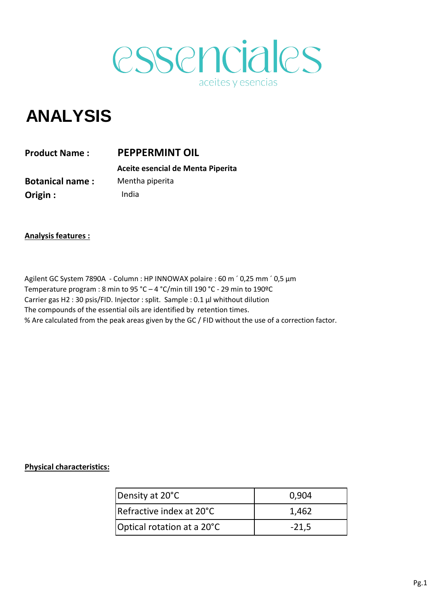

## **ANALYSIS**

India **PEPPERMINT OIL Aceite esencial de Menta Piperita Product Name : Botanical name : Origin :**  Mentha piperita

**Analysis features :**

Agilent GC System 7890A - Column : HP INNOWAX polaire : 60 m ' 0,25 mm ' 0,5 µm Temperature program : 8 min to 95 °C – 4 °C/min till 190 °C - 29 min to 190ºC Carrier gas H2 : 30 psis/FID. Injector : split. Sample : 0.1 µl whithout dilution The compounds of the essential oils are identified by retention times. % Are calculated from the peak areas given by the GC / FID without the use of a correction factor.

## **Physical characteristics:**

| Density at 20°C                  | 0,904   |  |
|----------------------------------|---------|--|
| <b>IRefractive index at 20°C</b> | 1,462   |  |
| Optical rotation at a 20°C       | $-21.5$ |  |